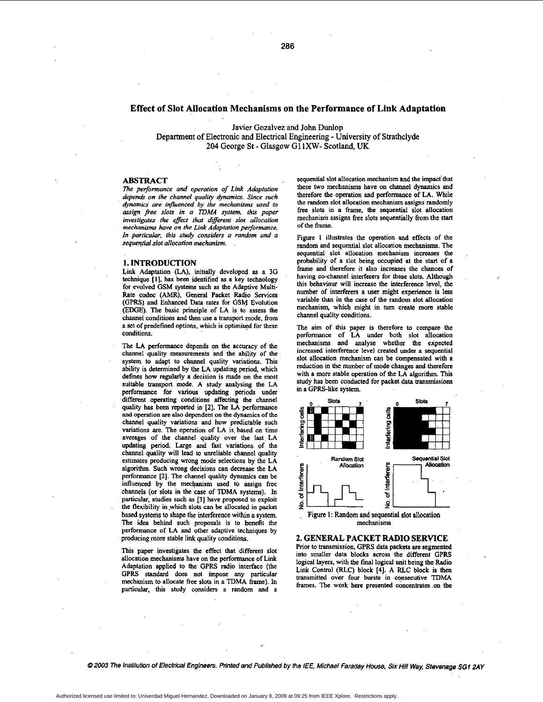## **Effect of Slot Allocation Mechanisms on the Performance of Link Adaptation**

Javier Gozalvez **and** John Dunlop Department of Electronic and Electrical Engineering - University of Strathclyde **204** George St - Glasgow **GlIXW-** Scotland, UK

## **ABSTRACT**

*The performance and operation of Link Adaplafion depends on :he channel quality dynamics. Since such*  dynamics are influenced by the mechanisms used to *arsign free slols in n TLMA syslem, :his paper investigates the effect that different slot allocation mechanisms have on the Link Adaptation performance. In parricuhr, :his study considers a random and a <i>allocation mechanism.* 

## **1. INTRODUCTION**

Link Adaptation (LA), initially developed **as** a 3G technique **[I],** has been identified **as** a key technology for evolved GSM **systems** such **as** the Adaptive Multi-Rate codec *(AMR),* General Packet Radio Services (GPRS) and Enhanced Data **rates** for GSM Evolution (EDGE). The basic principle of LA is to assess the channel conditions and then use a transport mode, from a set of predefined options, which is optimised for these conditions.

The LA performance depends **on** the accuracy of the channel.quality measurements and the ability of the **system** to adapt to channel quality variations. This ability is determined by the LA updating period, which defines how regularly a decision is made **on** the most suitable transport mode. A study analysing the LA performance for various updating periods under different operating conditions affecting the channel quality has **been reported** in **[Z].** The LA performance and operation **are** also dependent **on** the dynamics of the channel quality variations and how predictable such variations are. The operation **of** LA is. based **on** time averages of the channel quality over the last LA updating period: Large and fast variations of the channel quality will lead to unreliable channel quality estimates producing **wrong** mode selections by the LA algorithm. Such **wrong** decisions can decrease the LA performance **[Z].** The channel quality dynamics can be influenced by the mechanism used to assign **free**  channels (or **slots** in the case of TDMA systems). **In**  particular, studies such **as** [3] have proposed to exploit the flexibility inwhich **slots** can be allocated in packet based systems to shape the interference within a system. The idea behind such proposals is to benefit the performancc of LA and other adaptive techniques by producing more stable link quality conditions.

This paper investigates the effect that different slot allocation mechanisms have **on** the performance of Link Adaptation applied to the GPRS radio interface (the GPRS standard does not impose any particular mechanism to allocate free **slots** in a **TDMA** frame). **In**  particular, this study considers a random and a

sequential slot allocation mechanism and the impact that these **two** mechanisms have **on** channel dynamics and therefore the operation and performance of LA. While the random slot allocation mechanism assigns randomly free slots in a frame, the sequential slot allocation mechanism assigns free **slots** sequentially from the **start**  of the frame.

Figure **I** illustrates the operation and effects of the random and seguential slot allocation mechanisms. The sequential slot allocation mechanism increases the probability of a slot being occupied at the **start** of a frame and therefore it also increases the chances **of**  having co-channel interferers for these **slots.** Although this behaviour will increase the interference level, the **number** of interferers **a** user might experience is **less**  variable than in the case of the random slot allocation mechanism, which might in **turn** create more stable channel quality conditions.

The aim of this paper is therefore to compare the performance of LA under both slot allocation mechanisms and analyse whether the expected increased interference level created under a sequential slot allocation mechanism *can* be compensated with **a**  reduction in the number of mode changes and therefore with a mqre stable operation of the LA algorithm. **This**  study has been conducted for packet data transmissions<br>
in a GPRS-like system.<br> **b**. **n** Slots *1***</del><br>
<b>0** Slots **1** in a GPRS-like system.



# mechanisms

## **2. GENERAL PACKET RADIO SERVICE**

Prior to transmission, GPRS data packets are segmented into smaller data blocks across the different GPRS logical layers, with the final logical unit being the Radio Link **Control** (RLC) block **[4].** A RLC block is then transmitted over four bursts in consecutive TDMA frames. The work here presented concentrates **.on** the

*0 2003 The Institution* of *Electrical Engineers. Printed and Published by the IEE, Michael Faraday House, Six Hi// Wax Stevenage SO* **I ay**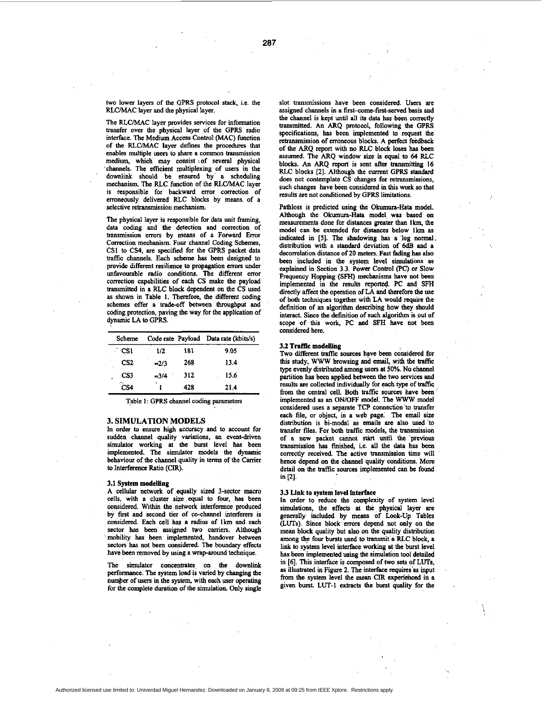**two** lower layers of the GPRS protocol stack, i.e. the RLCIMAC layer and the physical layer.

The RLC/MAC layer provides services for information transfer over the physical layer of the GPRS radio interface. The Medium Access Control (MAC) function of the RLCIMAC layer defines the procedures that enables multiple **users** to **share** a common transmission **medium,** which may consist :of several physical 'channels. The efficient multiplexing of **users in** the downlink should be ensured by' a scheduling mechanism. The RLC function of the RLC/MAC layer is responsible for backward error correction of erroneously delivered RLC blocks by means. of a selective retransmission mechanism

The physical layer is responsible for **data** unit **framing, data** coding and the detection and correction. of transmission errors by **means** of a Forward Error Correction mechanism. Four channel Coding Schemes, CSI **to** CS4, **are** specified for the GPRS packet **data**  traffic channels. Each scheme has been designed to provide different resilience to propagation errors under unfavourable radio conditions. The different error correction capabilities of *each* CS make the payload **transmitted** in a RLC block dependent on the CS used **as** shown in Table **1.** Therefore, the different coding schemes offer a trade-off between throughput and coding protection, paving the way for the application of dynamic LA to GPRS.

| Scheme          | Code rate Payload Data rate (kbits/s) |     |      |
|-----------------|---------------------------------------|-----|------|
| $\sim$ CS1      | 1/2                                   | 181 | 9.05 |
| CS <sub>2</sub> | $=2/3$                                | 268 | 13.4 |
| CS <sub>3</sub> | $=3/4$                                | 312 | 15.6 |
| CS4             |                                       | 428 | 21.4 |

Table **1:** GPRS channel coding parameters

### 3. SIMULATION MODELS

In **order** to ensure high accuracy and to **account** for sudden channel quality variations, an event-driven simulator working at the burst level has been implemented. The simulator **models** the dynamic behaviour of the channel quality in terms of the Carrier to Interference **Ratio** (CIR).

**3.1** System **modelling**  cells, with a cluster size equal to four, has been considered. Within the network interference produced by first and second tier of co-channel interferers is considered. Eacb cell has a radius of **lkm** and eacb sector has **been** assigned *WO* carriers. Although mobility has **been** implemented, handover between sectors has not been considered. The boundary effects have been removed by using a wrap-around technique.

The simulator concentrates on the downlink performance. The **system** load is varied by chaaging the number of users in the system, with each user operating for **the** complete duration of the simulation. Only single

slot transmissions have been considered. Users are assigned channels in a first-come-first-served basis and the channel is kept until all its data has been correctly **transmittd. An** *ARQ* protocol, following the GPRS specifications, has been implemented to request the retransmission of erroneous blocks. A perfect feedback of the *ARQ* **rep&** with no **RLC** block loses has **been**  assumed. The *ARQ* window sue is *equal* **to** *64* **RLC**  blocks. An ARQ report is sent after transmitting 16 RLC blocks [2]. Although the **current** GPRS standard does not contemplate CS changes for retransmissions, such changes have been considered in this work **so that results** are not conditioned by GPRS limitations.

Pathloss is predicted using the Okumura-Hata model. Although the Okumura-Hata model, was' based on measuremenls done for distances greater than **lkm,** the model can be extended for distances below **Ikm as**  indicated in **[SI.** The shndowing has **a** log normal. distribution with a standard deviation of *6dB* **and a**  decorrelation distance of 20 **melers.** Fast fading has *also*  **been** included in the system level **simulations as**  explained in Section 3.3. Power Control *(pC)* or Slow Frequency Hopping **(SFH)** mechanisms have not **been**  implemented in the results reported. PC and SFH directly **affeit** the operation of LA and therefore the use of **both** techniques together with LA would require the definition of an algorithm describing how they should interact. Since the defmition of such algorithm is **out** of scope of this work, PC and SFH have not been considered here.

#### **3.2 Tnffk modelllag**

Two different traffic **sourccs** have **been** considered for **this** study, WWW browsing and **email,** with the traffic type evenly distributed among **users** *also%.* No channel partition has been applied **between** the **two** services and results are collected individually for each type of *traffic* from the central cell. Both traffic sources have been implemented **as** an ON/OFF model. The WWW model considered uses a separate TCP connection to transfer each file, or object, in a web page. The email size distribution is bi-modal **as** emails arc also used **'to**  transfer files. For both traffic models, the transmission of **a** new packet cannot **start** until the 'previous transmission has finished, i.e. all the data has been correctly received. The active transmission time will hence depend on the channel quality conditions. More detail on the traffic sources implemented can be found in **[2].** 

#### 33 Link **to** syatem **level interface**

In order to reduce the complexity of system level simulations, the effects at **the** physical layer *are*  generally included by **means** of Look-Up Tables (LUTs). Since block errors depend not only on the mean block quality but also on the quality distribution among **the** four bursts used **to** transmit **a RLC** block, **a**  link to system level interface working at the burst level has been implemented using the simulation tool **detailed**  in [6]. **This** interface is composed of *WO* **sets** of LUTs, **as** illustrated in Figure **2.** The intcrfsce **requires'as input**  from the system level the mean CIR experienced in a given burst. LUT-I extracts the burst quality for the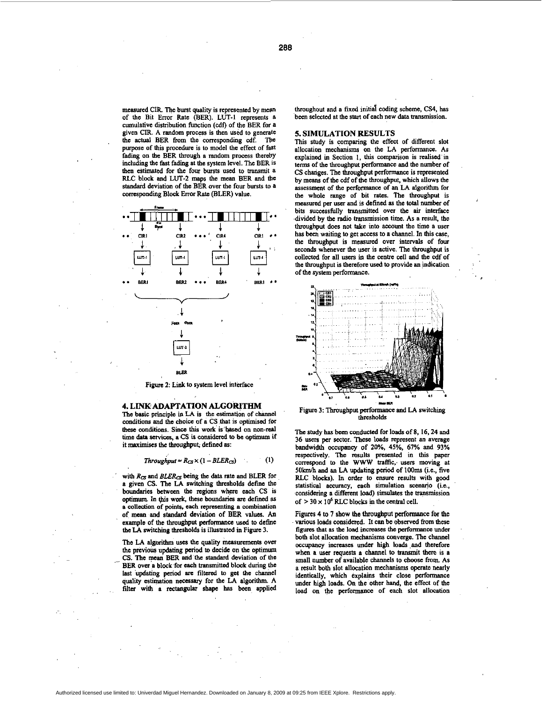measured CIR The burst quality is represented by mean of the Bit Error **Rate** (BER). LUT-1 represents a cumulative distribution function *(cdf)* of the BER for a given CIR. A random process is then used to generate the actual BER from the corresponding cdf. The purpose of this procedure is to model the effect of fast fading on the BER through a random process thereby including the **fast** fading at the system level. The BER is then estimated for the four bunts used to **transmit** a **RLC block** and LUT-2 *maps* the **mean** BER and the **standard** deviation of the BER over the four bursts to a



Figure 2: Link to system level interface

# **4. LINK' ADAPTATION ALGORITHM**

**The** basic principle in LA is the **estimation** of channel conditions and the choice of a CS that is optimised for these conditions. Since this work is based on non-real time **data** scrvicss, **a CS** is considered to be optimum if it maximises the throughput. defined **as:** 

$$
Throughout = R_{CS} \times (1 - BLER_{CS}) \tag{1}
$$

with  $R_{CS}$  and  $BLER_{CS}$  being the data rate and BLER for. **a** given **CS.** The LA switching thresbolds dehe **the**  boundaries between the regions where each CS is optimum. In this work, these boundaries are defined as a collection of points, each representing a combination of mean **and stand&** deviation of **BER** values. *An*  example of the throughput performance used to define the LA **switching** thresholds is illustrated in Figure 3.

The LA algorithm **uses** the **quality** measurements over the previous updating period to decide on the optimum CS. The mean BER and the standard deviation of the BER over a block for each transmitted block during the last updating period are filtered to get the channel quality estimation **necessary** for the LA algorithm. A filter with a rectangular shape has been applied

throughout and a fixed initial coding scheme, CS4, has been selected at the **start** of each new **data** transmission.

#### **5. SIMULATION RESULTS**

This study is **comparing** the effect of different slot allocation mechanisms **on** the LA performance. As explained in Section 1, this comparison is realised in terms of the throughput performance and the number of CS changes. The throughput performance is represented **by means** of the cdf of the throughput, which allows the assessment of the performance of an LA algorithm for the whole range of bit **rates.** The throughput is measured **per** user and is defined **as** the total number of bits successfully transmitted over the air interface divided by the radio transmission time. As a result, the throughput does not take **into** account the time a **user** has **bcen** waiting to get **access** to a channel. In this case, the throughput is **measured** over intervals of four seconds whenever the user is active. The throughput is collected for all users in the centre cell and the cdf of the throughput is therefore used to provide an indication of the system performance



Figure 3: Throughput performance and LA switching tbresholds

The **study** has been conducted for loads of **8,1624** and 36 users **per sator. These** loads represent an average bandwidth occupancy of **20%, 45%,** *61%* and **93%**  respectively. The results presented in this paper correspond to the WWW traffic, users moving at **50hnm** and **an** LA **updating** period of **IOOmS** (i.e., five RLC blocks). In order to ensure results with **good**  statistical accuracy, each simulation scenario (i.e., considering a different load) simulates the transmission of  $> 30 \times 10^6$  RLC blocks in the central cell.

[Figures](#page-3-0) **4** to **7** show **the** throughput performance for the various loads considered. It can be observed from these figures that as the load increases the performance under both slot allocation mechanisms converge. The channel occupancy increases under **high** loads .and therefore when a user requests a channel to transmit there is a small number of available channels to choose **from.** As a result both slot allocation mechanisms **operate** nearly identically, which explains their close performance under high loads. *On* the other band, the effect of the load on the performance of each slot allocation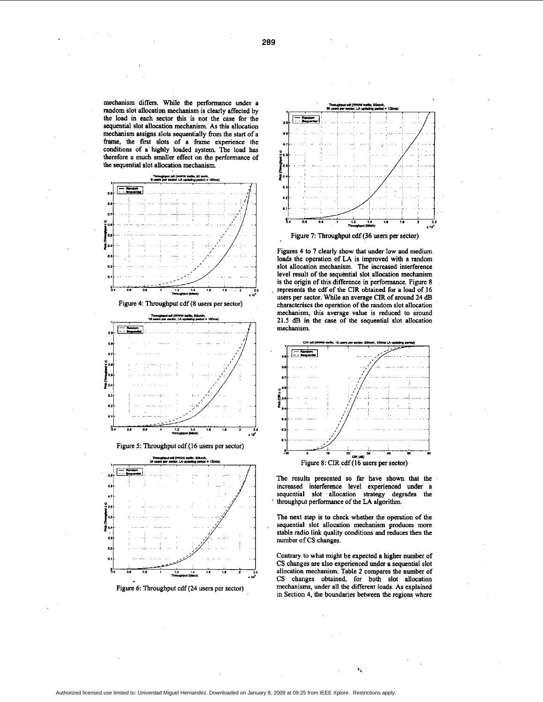<span id="page-3-0"></span>mechanism differs. While the performance under a random slot allocation mechanism is clearly affected by the load in each sector this is not the case for the sequential slot allocation mechanism. As this allocation mechanism assigns slots sequentially from the start of a frame, the first slots of a frame experience the conditions of a highly loaded system. The load has therefore a much smaller effect on the performance of the sequential slot allocation mechanism.







Figure 5: Throughput cdf (16 users per sector)



Figure 6: Throughput cdf (24 users per sector)



Figures 4 to 7 clearly show that under low and medium loads the operation of LA is improved with a random slot allocation mechanism. The increased interference level result of the sequential slot allocation mechanism is the origin of this difference in performance. Figure 8 represents the cdf of the CIR obtained for a load of 16 users per sector. While an average CIR of around 24 dB characterises the operation of the random slot allocation mechanism, this average value is reduced to around 21.5 dB in the case of the sequential slot allocation mechanism.



The results presented so far have shown that the increased interference level experienced under a sequential slot allocation strategy degrades the throughput performance of the LA algorithm.

The next step is to check whether the operation of the sequential slot allocation mechanism produces more stable radio link quality conditions and reduces then the number of CS changes.

Contrary to what might be expected a higher number of CS changes are also experienced under a sequential slot allocation mechanism. Table 2 compares the number of CS changes obtained, for both slot allocation mechanisms, under all the different loads. As explained in Section 4, the boundaries between the regions where

289